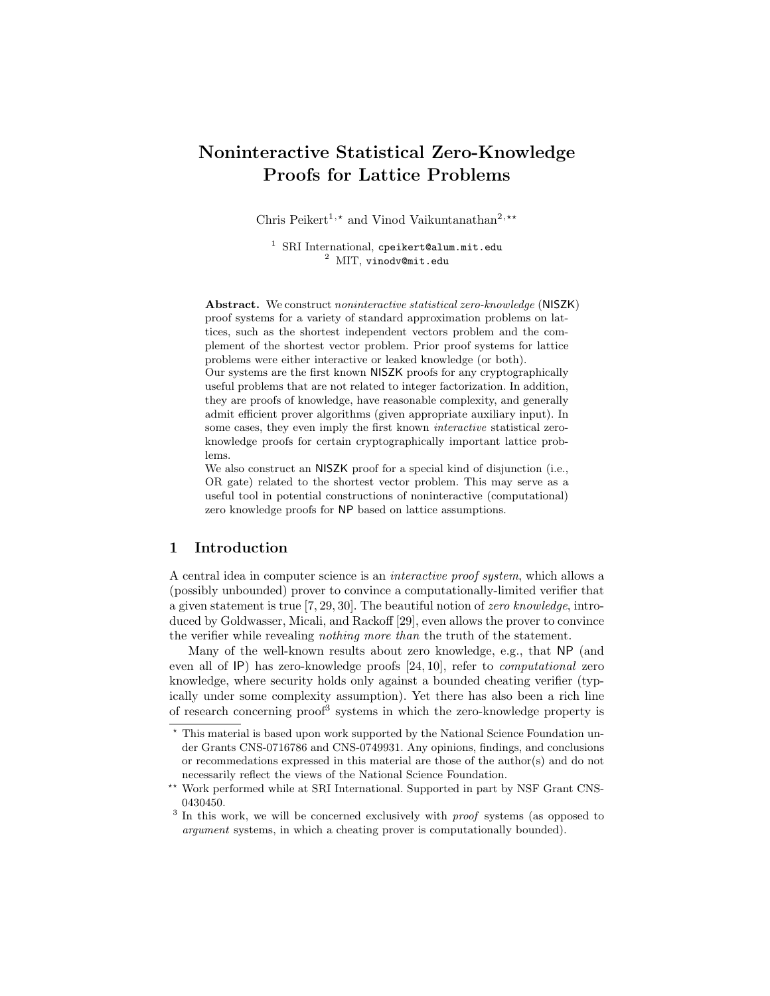# Noninteractive Statistical Zero-Knowledge Proofs for Lattice Problems

Chris Peikert<sup>1,\*</sup> and Vinod Vaikuntanathan<sup>2,\*\*</sup>

<sup>1</sup> SRI International, cpeikert@alum.mit.edu <sup>2</sup> MIT, vinodv@mit.edu

Abstract. We construct noninteractive statistical zero-knowledge (NISZK) proof systems for a variety of standard approximation problems on lattices, such as the shortest independent vectors problem and the complement of the shortest vector problem. Prior proof systems for lattice problems were either interactive or leaked knowledge (or both). Our systems are the first known NISZK proofs for any cryptographically useful problems that are not related to integer factorization. In addition, they are proofs of knowledge, have reasonable complexity, and generally admit efficient prover algorithms (given appropriate auxiliary input). In some cases, they even imply the first known interactive statistical zeroknowledge proofs for certain cryptographically important lattice problems.

We also construct an NISZK proof for a special kind of disjunction (i.e., OR gate) related to the shortest vector problem. This may serve as a useful tool in potential constructions of noninteractive (computational) zero knowledge proofs for NP based on lattice assumptions.

## 1 Introduction

A central idea in computer science is an interactive proof system, which allows a (possibly unbounded) prover to convince a computationally-limited verifier that a given statement is true [7, 29, 30]. The beautiful notion of zero knowledge, introduced by Goldwasser, Micali, and Rackoff [29], even allows the prover to convince the verifier while revealing nothing more than the truth of the statement.

Many of the well-known results about zero knowledge, e.g., that NP (and even all of IP) has zero-knowledge proofs [24, 10], refer to computational zero knowledge, where security holds only against a bounded cheating verifier (typically under some complexity assumption). Yet there has also been a rich line of research concerning proof<sup>3</sup> systems in which the zero-knowledge property is

<sup>?</sup> This material is based upon work supported by the National Science Foundation under Grants CNS-0716786 and CNS-0749931. Any opinions, findings, and conclusions or recommedations expressed in this material are those of the author(s) and do not necessarily reflect the views of the National Science Foundation.

<sup>\*\*</sup> Work performed while at SRI International. Supported in part by NSF Grant CNS-0430450.

<sup>&</sup>lt;sup>3</sup> In this work, we will be concerned exclusively with *proof* systems (as opposed to argument systems, in which a cheating prover is computationally bounded).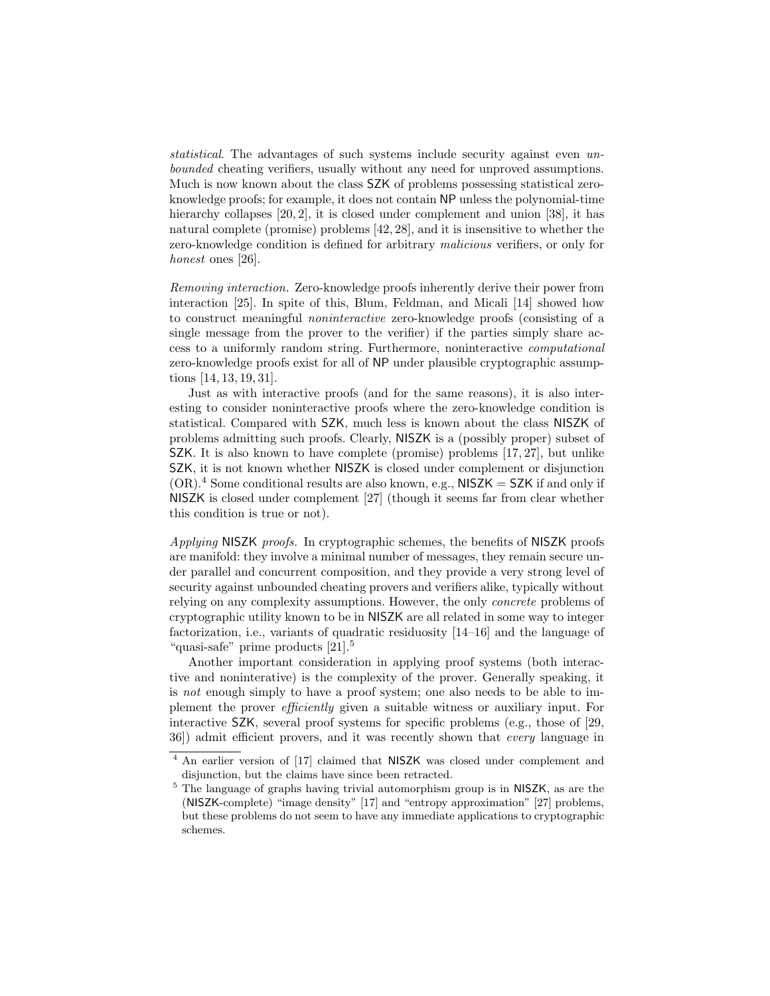statistical. The advantages of such systems include security against even unbounded cheating verifiers, usually without any need for unproved assumptions. Much is now known about the class SZK of problems possessing statistical zeroknowledge proofs; for example, it does not contain NP unless the polynomial-time hierarchy collapses [20, 2], it is closed under complement and union [38], it has natural complete (promise) problems [42, 28], and it is insensitive to whether the zero-knowledge condition is defined for arbitrary malicious verifiers, or only for honest ones [26].

Removing interaction. Zero-knowledge proofs inherently derive their power from interaction [25]. In spite of this, Blum, Feldman, and Micali [14] showed how to construct meaningful noninteractive zero-knowledge proofs (consisting of a single message from the prover to the verifier) if the parties simply share access to a uniformly random string. Furthermore, noninteractive computational zero-knowledge proofs exist for all of NP under plausible cryptographic assumptions [14, 13, 19, 31].

Just as with interactive proofs (and for the same reasons), it is also interesting to consider noninteractive proofs where the zero-knowledge condition is statistical. Compared with SZK, much less is known about the class NISZK of problems admitting such proofs. Clearly, NISZK is a (possibly proper) subset of SZK. It is also known to have complete (promise) problems [17, 27], but unlike SZK, it is not known whether NISZK is closed under complement or disjunction  $(OR).<sup>4</sup>$  Some conditional results are also known, e.g., NISZK = SZK if and only if NISZK is closed under complement [27] (though it seems far from clear whether this condition is true or not).

Applying NISZK proofs. In cryptographic schemes, the benefits of NISZK proofs are manifold: they involve a minimal number of messages, they remain secure under parallel and concurrent composition, and they provide a very strong level of security against unbounded cheating provers and verifiers alike, typically without relying on any complexity assumptions. However, the only concrete problems of cryptographic utility known to be in NISZK are all related in some way to integer factorization, i.e., variants of quadratic residuosity [14–16] and the language of "quasi-safe" prime products  $[21]$ <sup>5</sup>

Another important consideration in applying proof systems (both interactive and noninterative) is the complexity of the prover. Generally speaking, it is not enough simply to have a proof system; one also needs to be able to implement the prover efficiently given a suitable witness or auxiliary input. For interactive SZK, several proof systems for specific problems (e.g., those of [29, 36]) admit efficient provers, and it was recently shown that every language in

<sup>&</sup>lt;sup>4</sup> An earlier version of [17] claimed that NISZK was closed under complement and disjunction, but the claims have since been retracted.

<sup>5</sup> The language of graphs having trivial automorphism group is in NISZK, as are the (NISZK-complete) "image density" [17] and "entropy approximation" [27] problems, but these problems do not seem to have any immediate applications to cryptographic schemes.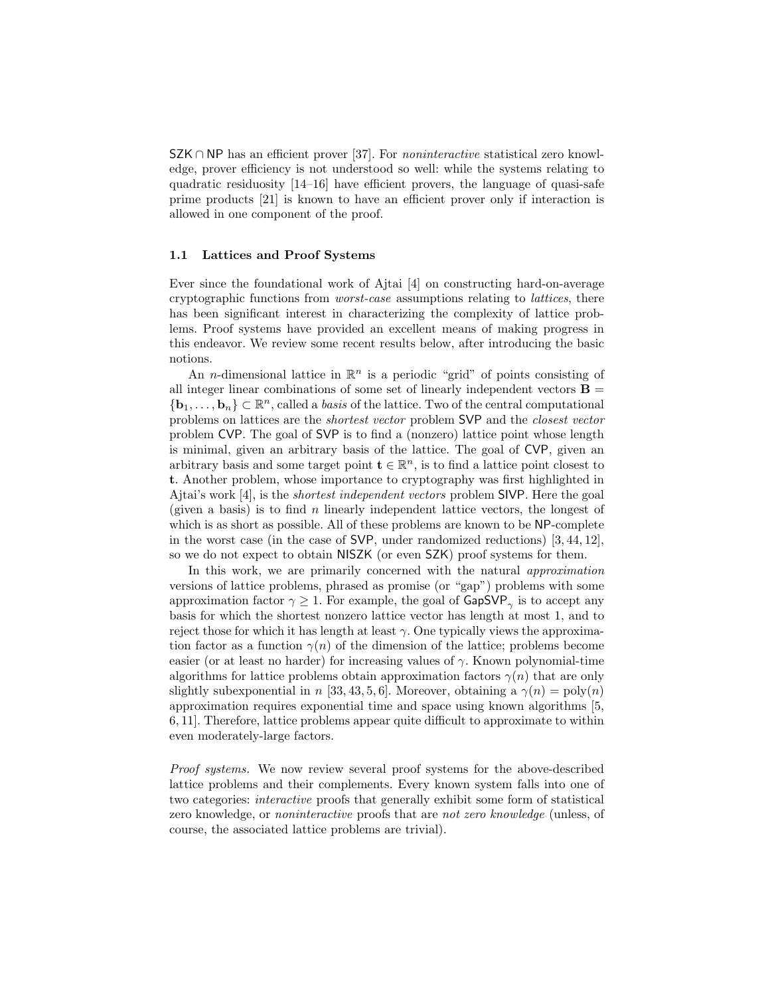SZK ∩ NP has an efficient prover [37]. For *noninteractive* statistical zero knowledge, prover efficiency is not understood so well: while the systems relating to quadratic residuosity  $[14-16]$  have efficient provers, the language of quasi-safe prime products [21] is known to have an efficient prover only if interaction is allowed in one component of the proof.

#### 1.1 Lattices and Proof Systems

Ever since the foundational work of Ajtai [4] on constructing hard-on-average cryptographic functions from worst-case assumptions relating to lattices, there has been significant interest in characterizing the complexity of lattice problems. Proof systems have provided an excellent means of making progress in this endeavor. We review some recent results below, after introducing the basic notions.

An *n*-dimensional lattice in  $\mathbb{R}^n$  is a periodic "grid" of points consisting of all integer linear combinations of some set of linearly independent vectors  $\mathbf{B} =$  ${\bf b}_1,\ldots,{\bf b}_n\}\subset\mathbb{R}^n$ , called a *basis* of the lattice. Two of the central computational problems on lattices are the shortest vector problem SVP and the closest vector problem CVP. The goal of SVP is to find a (nonzero) lattice point whose length is minimal, given an arbitrary basis of the lattice. The goal of CVP, given an arbitrary basis and some target point  $\mathbf{t} \in \mathbb{R}^n$ , is to find a lattice point closest to t. Another problem, whose importance to cryptography was first highlighted in Ajtai's work [4], is the shortest independent vectors problem SIVP. Here the goal (given a basis) is to find  $n$  linearly independent lattice vectors, the longest of which is as short as possible. All of these problems are known to be NP-complete in the worst case (in the case of SVP, under randomized reductions) [3, 44, 12], so we do not expect to obtain NISZK (or even SZK) proof systems for them.

In this work, we are primarily concerned with the natural approximation versions of lattice problems, phrased as promise (or "gap") problems with some approximation factor  $\gamma \geq 1$ . For example, the goal of  $\mathsf{GapSVP}_{\gamma}$  is to accept any basis for which the shortest nonzero lattice vector has length at most 1, and to reject those for which it has length at least  $\gamma$ . One typically views the approximation factor as a function  $\gamma(n)$  of the dimension of the lattice; problems become easier (or at least no harder) for increasing values of  $\gamma$ . Known polynomial-time algorithms for lattice problems obtain approximation factors  $\gamma(n)$  that are only slightly subexponential in n [33, 43, 5, 6]. Moreover, obtaining a  $\gamma(n) = \text{poly}(n)$ approximation requires exponential time and space using known algorithms [5, 6, 11]. Therefore, lattice problems appear quite difficult to approximate to within even moderately-large factors.

Proof systems. We now review several proof systems for the above-described lattice problems and their complements. Every known system falls into one of two categories: interactive proofs that generally exhibit some form of statistical zero knowledge, or noninteractive proofs that are not zero knowledge (unless, of course, the associated lattice problems are trivial).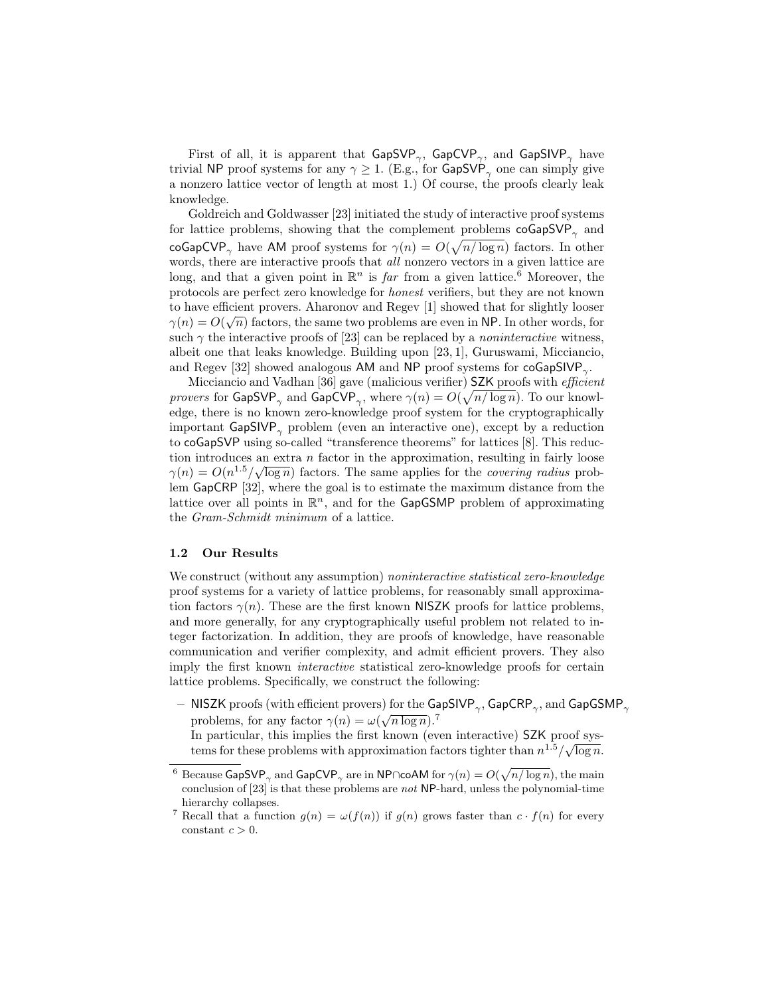First of all, it is apparent that  $\mathsf{GapSVP}_{\gamma},$   $\mathsf{GapCVP}_{\gamma},$  and  $\mathsf{GapSIVP}_{\gamma}$  have trivial NP proof systems for any  $\gamma \geq 1$ . (E.g., for GapSVP<sub> $_{\gamma}$ </sub> one can simply give a nonzero lattice vector of length at most 1.) Of course, the proofs clearly leak knowledge.

Goldreich and Goldwasser [23] initiated the study of interactive proof systems for lattice problems, showing that the complement problems  $\cos\theta$ SVP<sub> $\gamma$ </sub> and coGapCVP<sub>γ</sub> have AM proof systems for  $\gamma(n) = O(\sqrt{n/\log n})$  factors. In other words, there are interactive proofs that *all* nonzero vectors in a given lattice are long, and that a given point in  $\mathbb{R}^n$  is far from a given lattice.<sup>6</sup> Moreover, the protocols are perfect zero knowledge for honest verifiers, but they are not known to have efficient provers. Aharonov and Regev [1] showed that for slightly looser  $\gamma(n) = O(\sqrt{n})$  factors, the same two problems are even in NP. In other words, for such  $\gamma$  the interactive proofs of [23] can be replaced by a *noninteractive* witness, albeit one that leaks knowledge. Building upon [23, 1], Guruswami, Micciancio, and Regev [32] showed analogous AM and NP proof systems for  $\text{coGapSIVP}_{\gamma}$ .

Micciancio and Vadhan [36] gave (malicious verifier) SZK proofs with efficient provers for GapSVP<sub> $_{\gamma}$ </sub> and GapCVP<sub> $_{\gamma}$ </sub>, where  $\gamma(n) = O(\sqrt{n/\log n})$ . To our knowledge, there is no known zero-knowledge proof system for the cryptographically important  $GapSIVP_{\gamma}$  problem (even an interactive one), except by a reduction to coGapSVP using so-called "transference theorems" for lattices [8]. This reduction introduces an extra *n* factor in the approximation, resulting in fairly loose  $\gamma(n) = O(n^{1.5}/\sqrt{\log n})$  factors. The same applies for the *covering radius* problem GapCRP [32], where the goal is to estimate the maximum distance from the lattice over all points in  $\mathbb{R}^n$ , and for the GapGSMP problem of approximating the Gram-Schmidt minimum of a lattice.

## 1.2 Our Results

We construct (without any assumption) *noninteractive statistical zero-knowledge* proof systems for a variety of lattice problems, for reasonably small approximation factors  $\gamma(n)$ . These are the first known NISZK proofs for lattice problems, and more generally, for any cryptographically useful problem not related to integer factorization. In addition, they are proofs of knowledge, have reasonable communication and verifier complexity, and admit efficient provers. They also imply the first known interactive statistical zero-knowledge proofs for certain lattice problems. Specifically, we construct the following:

 $-$  NISZK proofs (with efficient provers) for the GapSIVP<sub> $\gamma$ </sub>, GapCRP<sub> $\gamma$ </sub>, and GapGSMP<sub> $\gamma$ </sub> problems, for any factor  $\gamma(n) = \omega(\sqrt{n \log n})$ .<sup>7</sup>

In particular, this implies the first known (even interactive) SZK proof sys-In particular, this implies the first known (even interactive)  $52K$  proof sys-<br>tems for these problems with approximation factors tighter than  $n^{1.5}/\sqrt{\log n}$ .

 $^6$  Because GapSVP<sub> $_{\gamma}$ </sub> and GapCVP<sub> $_{\gamma}$ </sub> are in NP∩coAM for  $\gamma(n) = O(\sqrt{n/\log n})$ , the main conclusion of  $[23]$  is that these problems are *not* NP-hard, unless the polynomial-time hierarchy collapses.

<sup>&</sup>lt;sup>7</sup> Recall that a function  $g(n) = \omega(f(n))$  if  $g(n)$  grows faster than  $c \cdot f(n)$  for every constant  $c > 0$ .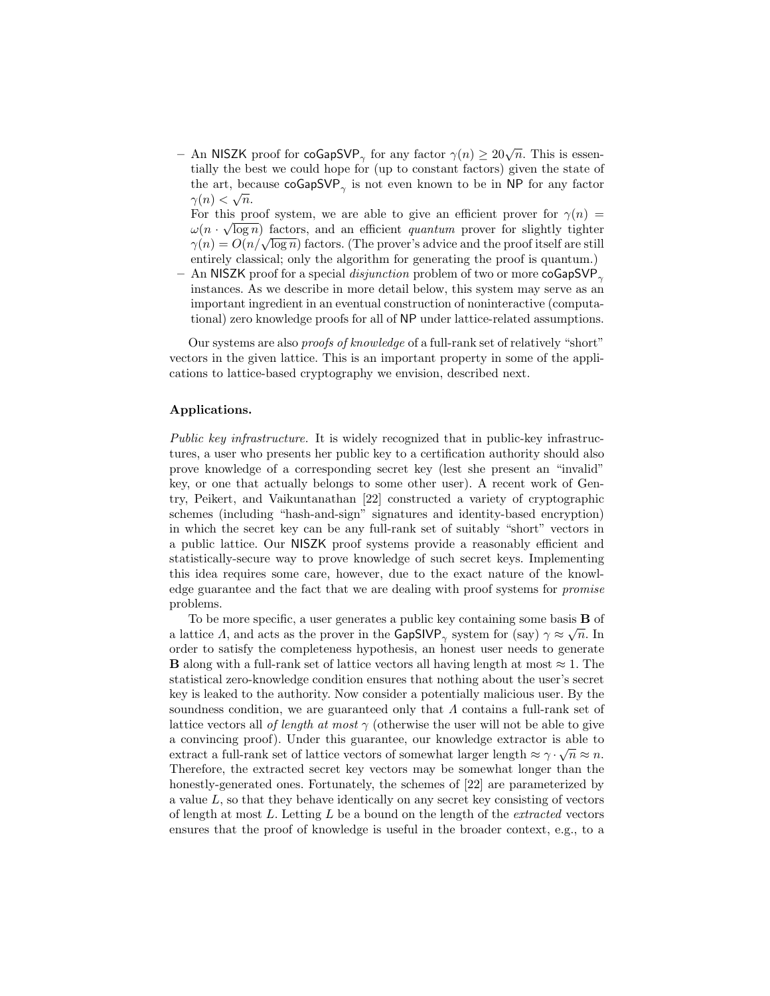- An NISZK proof for coGapSVP<sub> $\gamma$ </sub> for any factor  $\gamma(n) \geq 20\sqrt{n}$ . This is essentially the best we could hope for (up to constant factors) given the state of the art, because  $\mathsf{coGapSVP}_{\gamma}$  is not even known to be in NP for any factor  $\gamma(n) < \sqrt{n}$ .

For this proof system, we are able to give an efficient prover for  $\gamma(n) =$  $\omega(n \cdot \sqrt{\log n})$  factors, and an efficient *quantum* prover for slightly tighter  $\gamma(n) = O(n/\sqrt{\log n})$  factors, and an encrement *quantum* prover for signary tighter  $\gamma(n) = O(n/\sqrt{\log n})$  factors. (The prover's advice and the proof itself are still entirely classical; only the algorithm for generating the proof is quantum.)

– An NISZK proof for a special *disjunction* problem of two or more coGapSVP<sub> $\gamma$ </sub> instances. As we describe in more detail below, this system may serve as an important ingredient in an eventual construction of noninteractive (computational) zero knowledge proofs for all of NP under lattice-related assumptions.

Our systems are also proofs of knowledge of a full-rank set of relatively "short" vectors in the given lattice. This is an important property in some of the applications to lattice-based cryptography we envision, described next.

#### Applications.

Public key infrastructure. It is widely recognized that in public-key infrastructures, a user who presents her public key to a certification authority should also prove knowledge of a corresponding secret key (lest she present an "invalid" key, or one that actually belongs to some other user). A recent work of Gentry, Peikert, and Vaikuntanathan [22] constructed a variety of cryptographic schemes (including "hash-and-sign" signatures and identity-based encryption) in which the secret key can be any full-rank set of suitably "short" vectors in a public lattice. Our NISZK proof systems provide a reasonably efficient and statistically-secure way to prove knowledge of such secret keys. Implementing this idea requires some care, however, due to the exact nature of the knowledge guarantee and the fact that we are dealing with proof systems for promise problems.

To be more specific, a user generates a public key containing some basis  $\bf{B}$  of a lattice A, and acts as the prover in the GapSIVP<sub> $\gamma$ </sub> system for (say)  $\gamma \approx \sqrt{n}$ . In order to satisfy the completeness hypothesis, an honest user needs to generate **B** along with a full-rank set of lattice vectors all having length at most  $\approx 1$ . The statistical zero-knowledge condition ensures that nothing about the user's secret key is leaked to the authority. Now consider a potentially malicious user. By the soundness condition, we are guaranteed only that  $\Lambda$  contains a full-rank set of lattice vectors all of length at most  $\gamma$  (otherwise the user will not be able to give a convincing proof). Under this guarantee, our knowledge extractor is able to extract a full-rank set of lattice vectors of somewhat larger length  $\approx \gamma \cdot \sqrt{n} \approx n$ . Therefore, the extracted secret key vectors may be somewhat longer than the honestly-generated ones. Fortunately, the schemes of [22] are parameterized by a value  $L$ , so that they behave identically on any secret key consisting of vectors of length at most  $L$ . Letting  $L$  be a bound on the length of the *extracted* vectors ensures that the proof of knowledge is useful in the broader context, e.g., to a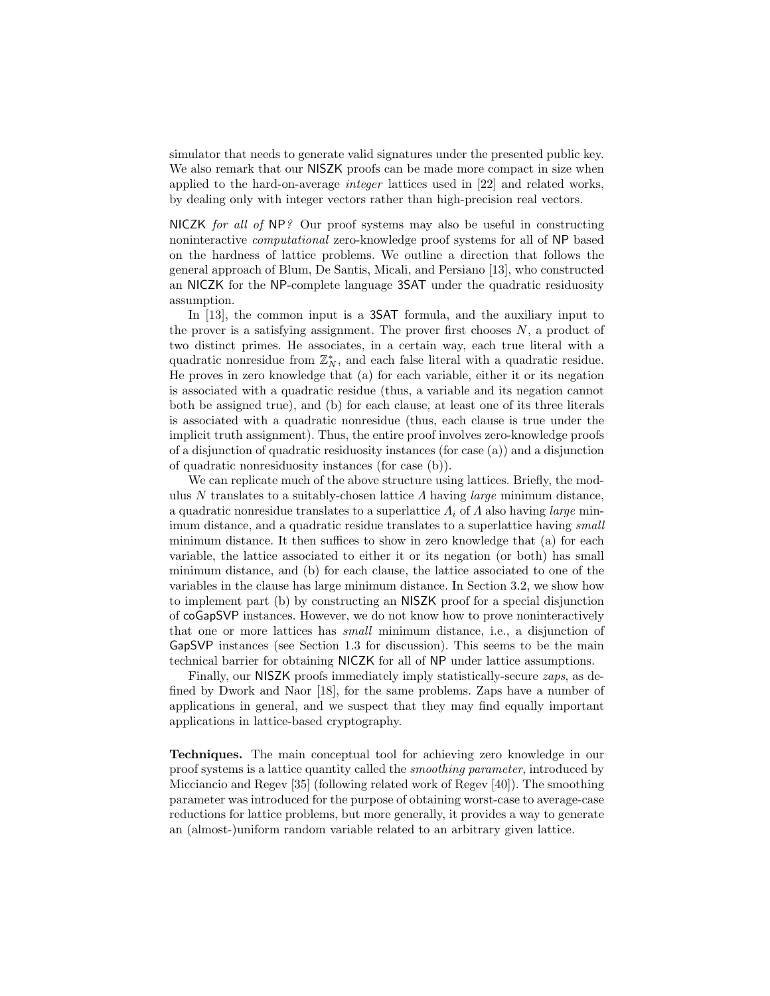simulator that needs to generate valid signatures under the presented public key. We also remark that our NISZK proofs can be made more compact in size when applied to the hard-on-average integer lattices used in [22] and related works, by dealing only with integer vectors rather than high-precision real vectors.

NICZK for all of NP? Our proof systems may also be useful in constructing noninteractive computational zero-knowledge proof systems for all of NP based on the hardness of lattice problems. We outline a direction that follows the general approach of Blum, De Santis, Micali, and Persiano [13], who constructed an NICZK for the NP-complete language 3SAT under the quadratic residuosity assumption.

In [13], the common input is a 3SAT formula, and the auxiliary input to the prover is a satisfying assignment. The prover first chooses  $N$ , a product of two distinct primes. He associates, in a certain way, each true literal with a quadratic nonresidue from  $\mathbb{Z}_N^*$ , and each false literal with a quadratic residue. He proves in zero knowledge that (a) for each variable, either it or its negation is associated with a quadratic residue (thus, a variable and its negation cannot both be assigned true), and (b) for each clause, at least one of its three literals is associated with a quadratic nonresidue (thus, each clause is true under the implicit truth assignment). Thus, the entire proof involves zero-knowledge proofs of a disjunction of quadratic residuosity instances (for case (a)) and a disjunction of quadratic nonresiduosity instances (for case (b)).

We can replicate much of the above structure using lattices. Briefly, the modulus N translates to a suitably-chosen lattice  $\Lambda$  having *large* minimum distance, a quadratic nonresidue translates to a superlattice  $\Lambda_i$  of  $\Lambda$  also having *large* minimum distance, and a quadratic residue translates to a superlattice having small minimum distance. It then suffices to show in zero knowledge that (a) for each variable, the lattice associated to either it or its negation (or both) has small minimum distance, and (b) for each clause, the lattice associated to one of the variables in the clause has large minimum distance. In Section 3.2, we show how to implement part (b) by constructing an NISZK proof for a special disjunction of coGapSVP instances. However, we do not know how to prove noninteractively that one or more lattices has small minimum distance, i.e., a disjunction of GapSVP instances (see Section 1.3 for discussion). This seems to be the main technical barrier for obtaining NICZK for all of NP under lattice assumptions.

Finally, our NISZK proofs immediately imply statistically-secure *zaps*, as defined by Dwork and Naor [18], for the same problems. Zaps have a number of applications in general, and we suspect that they may find equally important applications in lattice-based cryptography.

Techniques. The main conceptual tool for achieving zero knowledge in our proof systems is a lattice quantity called the smoothing parameter, introduced by Micciancio and Regev [35] (following related work of Regev [40]). The smoothing parameter was introduced for the purpose of obtaining worst-case to average-case reductions for lattice problems, but more generally, it provides a way to generate an (almost-)uniform random variable related to an arbitrary given lattice.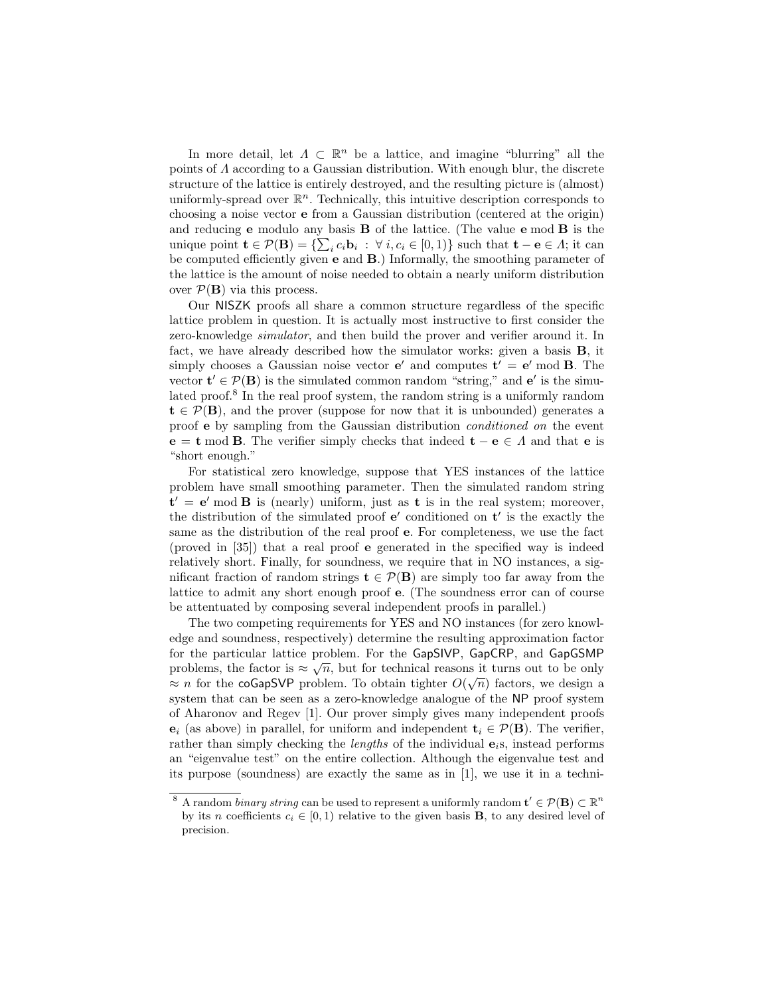In more detail, let  $\Lambda \subset \mathbb{R}^n$  be a lattice, and imagine "blurring" all the points of Λ according to a Gaussian distribution. With enough blur, the discrete structure of the lattice is entirely destroyed, and the resulting picture is (almost) uniformly-spread over  $\mathbb{R}^n$ . Technically, this intuitive description corresponds to choosing a noise vector e from a Gaussian distribution (centered at the origin) and reducing e modulo any basis B of the lattice. (The value e mod B is the unique point  $\mathbf{t} \in \mathcal{P}(\mathbf{B}) = \{\sum_i c_i \mathbf{b}_i : \forall i, c_i \in [0,1)\}\$  such that  $\mathbf{t} - \mathbf{e} \in \Lambda$ ; it can be computed efficiently given e and B.) Informally, the smoothing parameter of the lattice is the amount of noise needed to obtain a nearly uniform distribution over  $\mathcal{P}(\mathbf{B})$  via this process.

Our NISZK proofs all share a common structure regardless of the specific lattice problem in question. It is actually most instructive to first consider the zero-knowledge simulator, and then build the prover and verifier around it. In fact, we have already described how the simulator works: given a basis B, it simply chooses a Gaussian noise vector  $e'$  and computes  $t' = e'$  mod **B**. The vector  $\mathbf{t}' \in \mathcal{P}(\mathbf{B})$  is the simulated common random "string," and  $\mathbf{e}'$  is the simulated proof.<sup>8</sup> In the real proof system, the random string is a uniformly random  $t \in \mathcal{P}(B)$ , and the prover (suppose for now that it is unbounded) generates a proof e by sampling from the Gaussian distribution conditioned on the event  $e = t \mod B$ . The verifier simply checks that indeed  $t - e \in A$  and that e is "short enough."

For statistical zero knowledge, suppose that YES instances of the lattice problem have small smoothing parameter. Then the simulated random string  $t' = e' \mod B$  is (nearly) uniform, just as t is in the real system; moreover, the distribution of the simulated proof  $e'$  conditioned on  $t'$  is the exactly the same as the distribution of the real proof e. For completeness, we use the fact (proved in [35]) that a real proof e generated in the specified way is indeed relatively short. Finally, for soundness, we require that in NO instances, a significant fraction of random strings  $\mathbf{t} \in \mathcal{P}(\mathbf{B})$  are simply too far away from the lattice to admit any short enough proof e. (The soundness error can of course be attentuated by composing several independent proofs in parallel.)

The two competing requirements for YES and NO instances (for zero knowledge and soundness, respectively) determine the resulting approximation factor for the particular lattice problem. For the GapSIVP, GapCRP, and GapGSMP problems, the factor is  $\approx \sqrt{n}$ , but for technical reasons it turns out to be only  $\approx n$  for the coGapSVP problem. To obtain tighter  $O(\sqrt{n})$  factors, we design a system that can be seen as a zero-knowledge analogue of the NP proof system of Aharonov and Regev [1]. Our prover simply gives many independent proofs  $\mathbf{e}_i$  (as above) in parallel, for uniform and independent  $\mathbf{t}_i \in \mathcal{P}(\mathbf{B})$ . The verifier, rather than simply checking the *lengths* of the individual  $e_i$ s, instead performs an "eigenvalue test" on the entire collection. Although the eigenvalue test and its purpose (soundness) are exactly the same as in [1], we use it in a techni-

<sup>&</sup>lt;sup>8</sup> A random *binary string* can be used to represent a uniformly random  $\mathbf{t}' \in \mathcal{P}(\mathbf{B}) \subset \mathbb{R}^n$ by its n coefficients  $c_i \in [0,1)$  relative to the given basis **B**, to any desired level of precision.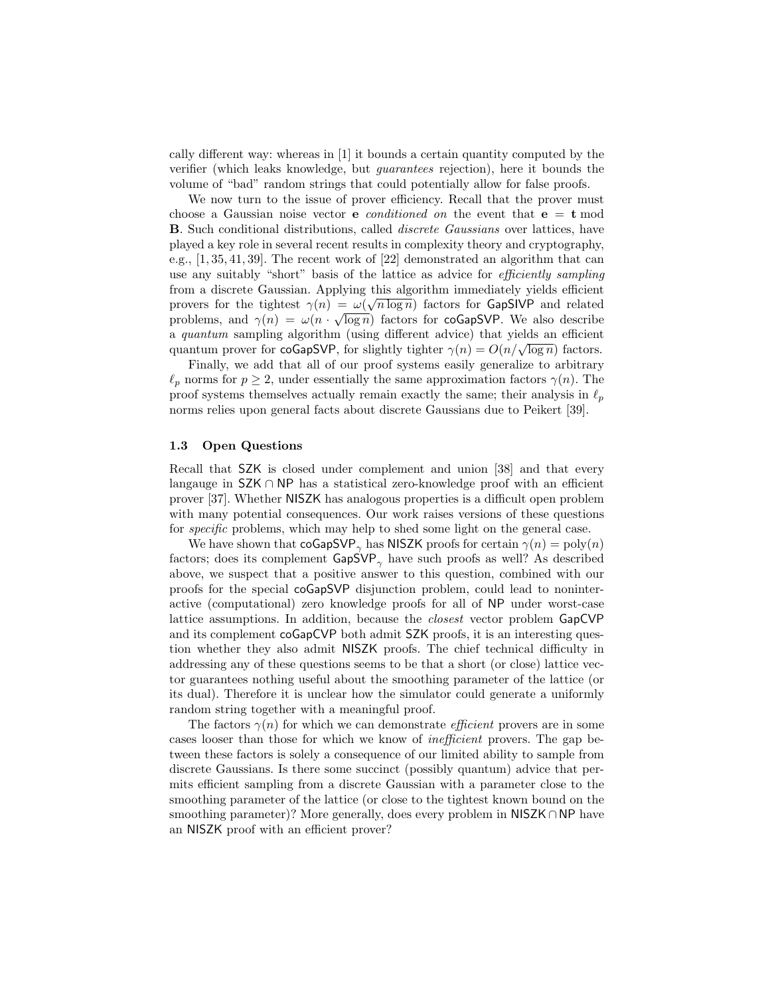cally different way: whereas in [1] it bounds a certain quantity computed by the verifier (which leaks knowledge, but guarantees rejection), here it bounds the volume of "bad" random strings that could potentially allow for false proofs.

We now turn to the issue of prover efficiency. Recall that the prover must choose a Gaussian noise vector **e** *conditioned on* the event that  $e = t \mod 1$ B. Such conditional distributions, called discrete Gaussians over lattices, have played a key role in several recent results in complexity theory and cryptography, e.g., [1, 35, 41, 39]. The recent work of [22] demonstrated an algorithm that can use any suitably "short" basis of the lattice as advice for efficiently sampling from a discrete Gaussian. Applying this algorithm immediately yields efficient provers for the tightest  $\gamma(n) = \omega(\sqrt{n \log n})$  factors for GapSIVP and related problems, and  $\gamma(n) = \omega(n \cdot \sqrt{\log n})$  factors for coGapSVP. We also describe a quantum sampling algorithm (using different advice) that yields an efficient a *quantum* sampling algorithm (using different advice) that yields an efficient quantum prover for coGapSVP, for slightly tighter  $\gamma(n) = O(n/\sqrt{\log n})$  factors.

Finally, we add that all of our proof systems easily generalize to arbitrary  $\ell_p$  norms for  $p \geq 2$ , under essentially the same approximation factors  $\gamma(n)$ . The proof systems themselves actually remain exactly the same; their analysis in  $\ell_p$ norms relies upon general facts about discrete Gaussians due to Peikert [39].

## 1.3 Open Questions

Recall that SZK is closed under complement and union [38] and that every langauge in SZK ∩ NP has a statistical zero-knowledge proof with an efficient prover [37]. Whether NISZK has analogous properties is a difficult open problem with many potential consequences. Our work raises versions of these questions for specific problems, which may help to shed some light on the general case.

We have shown that  $\cos\phi V P_{\gamma}$  has NISZK proofs for certain  $\gamma(n) = \text{poly}(n)$ factors; does its complement  $\text{GapSVP}_{\gamma}$  have such proofs as well? As described above, we suspect that a positive answer to this question, combined with our proofs for the special coGapSVP disjunction problem, could lead to noninteractive (computational) zero knowledge proofs for all of NP under worst-case lattice assumptions. In addition, because the closest vector problem GapCVP and its complement coGapCVP both admit SZK proofs, it is an interesting question whether they also admit NISZK proofs. The chief technical difficulty in addressing any of these questions seems to be that a short (or close) lattice vector guarantees nothing useful about the smoothing parameter of the lattice (or its dual). Therefore it is unclear how the simulator could generate a uniformly random string together with a meaningful proof.

The factors  $\gamma(n)$  for which we can demonstrate *efficient* provers are in some cases looser than those for which we know of inefficient provers. The gap between these factors is solely a consequence of our limited ability to sample from discrete Gaussians. Is there some succinct (possibly quantum) advice that permits efficient sampling from a discrete Gaussian with a parameter close to the smoothing parameter of the lattice (or close to the tightest known bound on the smoothing parameter)? More generally, does every problem in NISZK∩NP have an NISZK proof with an efficient prover?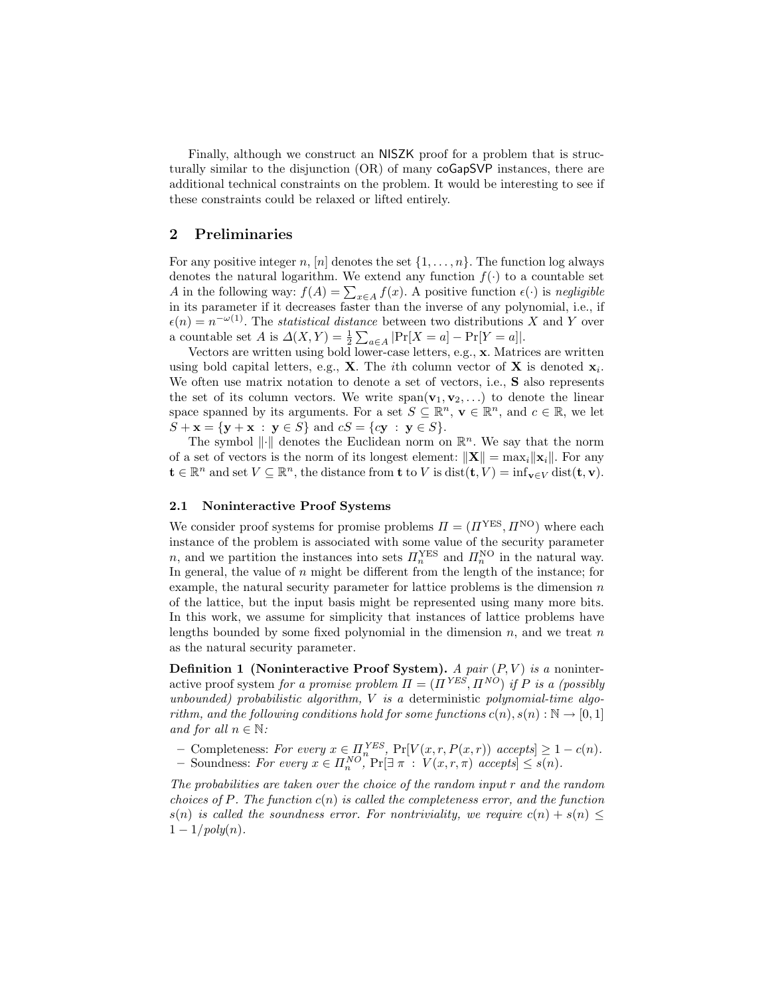Finally, although we construct an NISZK proof for a problem that is structurally similar to the disjunction (OR) of many coGapSVP instances, there are additional technical constraints on the problem. It would be interesting to see if these constraints could be relaxed or lifted entirely.

# 2 Preliminaries

For any positive integer n, [n] denotes the set  $\{1, \ldots, n\}$ . The function log always denotes the natural logarithm. We extend any function  $f(\cdot)$  to a countable set A in the following way:  $f(A) = \sum_{x \in A} f(x)$ . A positive function  $\epsilon(\cdot)$  is negligible in its parameter if it decreases faster than the inverse of any polynomial, i.e., if  $\epsilon(n) = n^{-\omega(1)}$ . The *statistical distance* between two distributions X and Y over a countable set A is  $\Delta(X,Y) = \frac{1}{2} \sum_{a \in A} |\Pr[X=a] - \Pr[Y=a]|$ .

Vectors are written using bold lower-case letters, e.g., x. Matrices are written using bold capital letters, e.g., **X**. The *i*th column vector of **X** is denoted  $\mathbf{x}_i$ . We often use matrix notation to denote a set of vectors, i.e., S also represents the set of its column vectors. We write  $\text{span}(\mathbf{v}_1, \mathbf{v}_2, \ldots)$  to denote the linear space spanned by its arguments. For a set  $S \subseteq \mathbb{R}^n$ ,  $\mathbf{v} \in \mathbb{R}^n$ , and  $c \in \mathbb{R}$ , we let  $S + \mathbf{x} = {\mathbf{y} + \mathbf{x} : \mathbf{y} \in S}$  and  $cS = {cy : \mathbf{y} \in S}.$ 

The symbol  $\|\cdot\|$  denotes the Euclidean norm on  $\mathbb{R}^n$ . We say that the norm of a set of vectors is the norm of its longest element:  $\|\mathbf{X}\| = \max_i \|\mathbf{x}_i\|$ . For any  $\mathbf{t} \in \mathbb{R}^n$  and set  $V \subseteq \mathbb{R}^n$ , the distance from  $\mathbf{t}$  to V is  $dist(\mathbf{t}, V) = inf_{\mathbf{v} \in V} dist(\mathbf{t}, \mathbf{v})$ .

### 2.1 Noninteractive Proof Systems

We consider proof systems for promise problems  $\Pi = (H^{YES}, H^{NO})$  where each instance of the problem is associated with some value of the security parameter n, and we partition the instances into sets  $\Pi_n^{\text{YES}}$  and  $\Pi_n^{\text{NO}}$  in the natural way. In general, the value of  $n$  might be different from the length of the instance; for example, the natural security parameter for lattice problems is the dimension  $n$ of the lattice, but the input basis might be represented using many more bits. In this work, we assume for simplicity that instances of lattice problems have lengths bounded by some fixed polynomial in the dimension  $n$ , and we treat  $n$ as the natural security parameter.

Definition 1 (Noninteractive Proof System). A pair  $(P, V)$  is a noninteractive proof system for a promise problem  $\Pi = (\Pi^{YES}, \Pi^{NO})$  if P is a (possibly unbounded) probabilistic algorithm,  $V$  is a deterministic polynomial-time algorithm, and the following conditions hold for some functions  $c(n)$ ,  $s(n): \mathbb{N} \to [0,1]$ and for all  $n \in \mathbb{N}$ :

– Completeness: For every  $x \in \prod_{n}^{YES}$ , Pr[ $V(x, r, P(x, r))$  accepts] ≥ 1 – c(n). - Soundness: For every  $x \in \Pi_n^{NO}$ ,  $Pr[\exists \pi : V(x, r, \pi)$  accepts $] \leq s(n)$ .

The probabilities are taken over the choice of the random input  $r$  and the random choices of P. The function  $c(n)$  is called the completeness error, and the function  $s(n)$  is called the soundness error. For nontriviality, we require  $c(n) + s(n) \leq$  $1 - 1/poly(n)$ .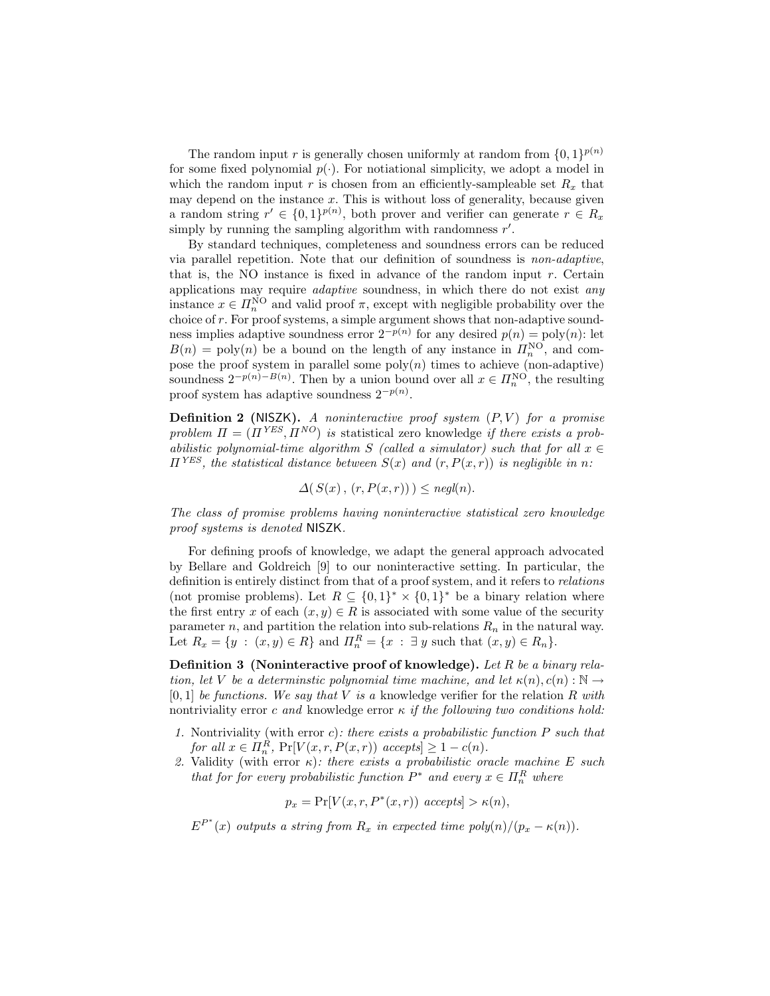The random input r is generally chosen uniformly at random from  $\{0,1\}^{p(n)}$ for some fixed polynomial  $p(\cdot)$ . For notiational simplicity, we adopt a model in which the random input r is chosen from an efficiently-sampleable set  $R_x$  that may depend on the instance  $x$ . This is without loss of generality, because given a random string  $r' \in \{0,1\}^{p(n)}$ , both prover and verifier can generate  $r \in R_x$ simply by running the sampling algorithm with randomness  $r'$ .

By standard techniques, completeness and soundness errors can be reduced via parallel repetition. Note that our definition of soundness is non-adaptive, that is, the NO instance is fixed in advance of the random input  $r$ . Certain applications may require adaptive soundness, in which there do not exist any instance  $x \in \Pi_n^{\text{NO}}$  and valid proof  $\pi$ , except with negligible probability over the choice of r. For proof systems, a simple argument shows that non-adaptive soundness implies adaptive soundness error  $2^{-p(n)}$  for any desired  $p(n) = \text{poly}(n)$ : let  $B(n) = \text{poly}(n)$  be a bound on the length of any instance in  $\mathbb{H}_n^{\text{NO}}$ , and compose the proof system in parallel some  $poly(n)$  times to achieve (non-adaptive) soundness  $2^{-p(n)-B(n)}$ . Then by a union bound over all  $x \in \Pi_n^{\text{NO}}$ , the resulting proof system has adaptive soundness  $2^{-p(n)}$ .

**Definition 2** (NISZK). A noninteractive proof system  $(P, V)$  for a promise problem  $\Pi = (\Pi^{YES}, \Pi^{NO})$  is statistical zero knowledge if there exists a probabilistic polynomial-time algorithm S (called a simulator) such that for all  $x \in$  $\Pi^{YES}$ , the statistical distance between  $S(x)$  and  $(r, P(x,r))$  is negligible in n:

 $\Delta(S(x), (r, P(x, r))) \leq \text{ne}a(n).$ 

The class of promise problems having noninteractive statistical zero knowledge proof systems is denoted NISZK.

For defining proofs of knowledge, we adapt the general approach advocated by Bellare and Goldreich [9] to our noninteractive setting. In particular, the definition is entirely distinct from that of a proof system, and it refers to relations (not promise problems). Let  $R \subseteq \{0,1\}^* \times \{0,1\}^*$  be a binary relation where the first entry x of each  $(x, y) \in R$  is associated with some value of the security parameter n, and partition the relation into sub-relations  $R_n$  in the natural way. Let  $R_x = \{y : (x, y) \in R\}$  and  $\Pi_n^R = \{x : \exists y \text{ such that } (x, y) \in R_n\}.$ 

Definition 3 (Noninteractive proof of knowledge). Let  $R$  be a binary relation, let V be a determinstic polynomial time machine, and let  $\kappa(n), c(n) : \mathbb{N} \to$  $[0, 1]$  be functions. We say that V is a knowledge verifier for the relation R with nontriviality error c and knowledge error  $\kappa$  if the following two conditions hold:

- 1. Nontriviality (with error  $c$ ): there exists a probabilistic function  $P$  such that for all  $x \in \Pi_n^R$ ,  $Pr[V(x, r, P(x, r))$  accepts  $\geq 1 - c(n)$ .
- 2. Validity (with error  $\kappa$ ): there exists a probabilistic oracle machine E such that for for every probabilistic function  $P^*$  and every  $x \in \Pi_n^R$  where

$$
p_x = \Pr[V(x, r, P^*(x, r)) \text{ accepts}] > \kappa(n),
$$

 $E^{P^*}(x)$  outputs a string from  $R_x$  in expected time  $poly(n)/(p_x - \kappa(n))$ .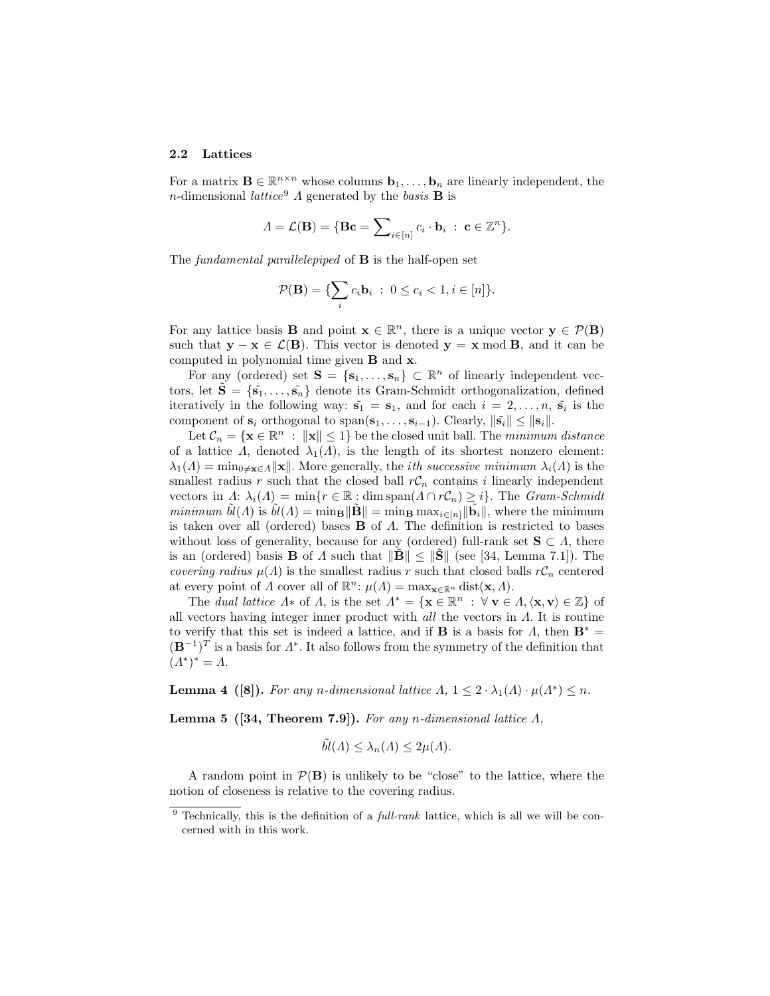#### 2.2 Lattices

For a matrix  $\mathbf{B} \in \mathbb{R}^{n \times n}$  whose columns  $\mathbf{b}_1, \ldots, \mathbf{b}_n$  are linearly independent, the n-dimensional lattice<sup>9</sup>  $\Lambda$  generated by the basis **B** is

$$
\Lambda = \mathcal{L}(\mathbf{B}) = \{ \mathbf{B}\mathbf{c} = \sum_{i \in [n]} c_i \cdot \mathbf{b}_i : \mathbf{c} \in \mathbb{Z}^n \}.
$$

The *fundamental parallelepiped* of **B** is the half-open set

$$
\mathcal{P}(\mathbf{B}) = \{\sum_i c_i \mathbf{b}_i : 0 \le c_i < 1, i \in [n]\}.
$$

For any lattice basis **B** and point  $\mathbf{x} \in \mathbb{R}^n$ , there is a unique vector  $\mathbf{y} \in \mathcal{P}(\mathbf{B})$ such that  $y - x \in \mathcal{L}(B)$ . This vector is denoted  $y = x \mod B$ , and it can be computed in polynomial time given B and x.

For any (ordered) set  $\mathbf{S} = \{\mathbf{s}_1, \ldots, \mathbf{s}_n\} \subset \mathbb{R}^n$  of linearly independent vectors, let  $\tilde{\mathbf{S}} = \{\tilde{\mathbf{s}_1}, \ldots, \tilde{\mathbf{s}_n}\}\$  denote its Gram-Schmidt orthogonalization, defined iteratively in the following way:  $\tilde{s_1} = s_1$ , and for each  $i = 2, \ldots, n$ ,  $\tilde{s_i}$  is the component of  $\mathbf{s}_i$  orthogonal to  $\text{span}(\mathbf{s}_1,\ldots,\mathbf{s}_{i-1})$ . Clearly,  $\|\tilde{\mathbf{s}}_i\| \leq \|\mathbf{s}_i\|$ .

Let  $\mathcal{C}_n = \{ \mathbf{x} \in \mathbb{R}^n : ||\mathbf{x}|| \leq 1 \}$  be the closed unit ball. The minimum distance of a lattice  $\Lambda$ , denoted  $\lambda_1(\Lambda)$ , is the length of its shortest nonzero element:  $\lambda_1(\Lambda) = \min_{0 \neq \mathbf{x} \in \Lambda} ||\mathbf{x}||$ . More generally, the *ith successive minimum*  $\lambda_i(\Lambda)$  is the smallest radius r such that the closed ball  $rC_n$  contains i linearly independent vectors in  $\Lambda: \lambda_i(\Lambda) = \min\{r \in \mathbb{R} : \dim \text{span}(\Lambda \cap rC_n) \geq i\}.$  The Gram-Schmidt minimum  $\tilde{bl}(\Lambda)$  is  $\tilde{bl}(\Lambda) = \min_{\mathbf{B}} ||\tilde{\mathbf{B}}|| = \min_{\mathbf{B}} \max_{i \in [n]} ||\tilde{\mathbf{b}}_i||$ , where the minimum is taken over all (ordered) bases  $\bf{B}$  of  $\Lambda$ . The definition is restricted to bases without loss of generality, because for any (ordered) full-rank set  $S \subset \Lambda$ , there is an (ordered) basis **B** of  $\Lambda$  such that  $\|\mathbf{B}\| \le \|\mathbf{S}\|$  (see [34, Lemma 7.1]). The covering radius  $\mu(\Lambda)$  is the smallest radius r such that closed balls  $rC_n$  centered at every point of  $\Lambda$  cover all of  $\mathbb{R}^n$ :  $\mu(\Lambda) = \max_{\mathbf{x} \in \mathbb{R}^n} \text{dist}(\mathbf{x}, \Lambda)$ .

The dual lattice  $\Lambda^*$  of  $\Lambda$ , is the set  $\Lambda^* = {\mathbf{x} \in \mathbb{R}^n : \forall \mathbf{v} \in \Lambda, \langle \mathbf{x}, \mathbf{v} \rangle \in \mathbb{Z}}$  of all vectors having integer inner product with all the vectors in  $\Lambda$ . It is routine to verify that this set is indeed a lattice, and if **B** is a basis for  $\Lambda$ , then  $\mathbf{B}^* =$  $(\mathbf{B}^{-1})^T$  is a basis for  $\Lambda^*$ . It also follows from the symmetry of the definition that  $(A^*)^* = A.$ 

**Lemma 4 ([8]).** For any n-dimensional lattice  $\Lambda$ ,  $1 \leq 2 \cdot \lambda_1(\Lambda) \cdot \mu(\Lambda^*) \leq n$ .

**Lemma 5** ([34, Theorem 7.9]). For any n-dimensional lattice  $\Lambda$ ,

$$
\tilde{bl}(\Lambda) \leq \lambda_n(\Lambda) \leq 2\mu(\Lambda).
$$

A random point in  $\mathcal{P}(\mathbf{B})$  is unlikely to be "close" to the lattice, where the notion of closeness is relative to the covering radius.

 $9$  Technically, this is the definition of a *full-rank* lattice, which is all we will be concerned with in this work.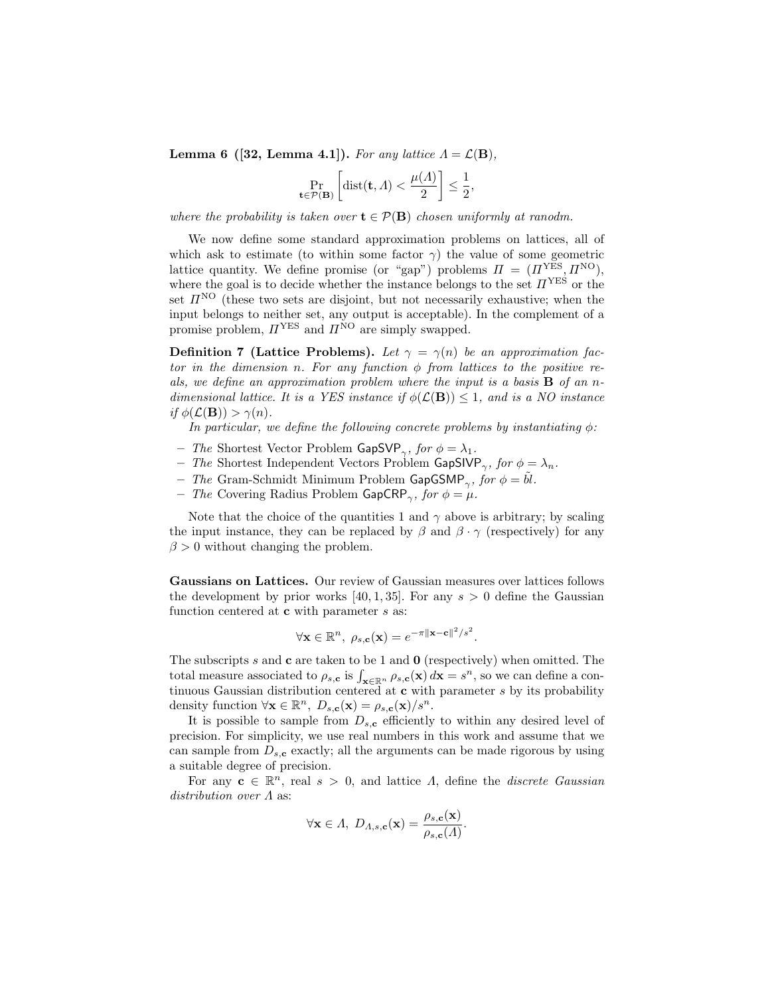**Lemma 6** ([32, Lemma 4.1]). For any lattice  $\Lambda = \mathcal{L}(\mathbf{B})$ ,

$$
\Pr_{\mathbf{t}\in\mathcal{P}(\mathbf{B})}\left[\mathrm{dist}(\mathbf{t},\Lambda)<\frac{\mu(\Lambda)}{2}\right]\leq\frac{1}{2},
$$

where the probability is taken over  $\mathbf{t} \in \mathcal{P}(\mathbf{B})$  chosen uniformly at ranodm.

We now define some standard approximation problems on lattices, all of which ask to estimate (to within some factor  $\gamma$ ) the value of some geometric lattice quantity. We define promise (or "gap") problems  $\Pi = (H<sup>YES</sup>, H<sup>NO</sup>)$ , where the goal is to decide whether the instance belongs to the set  $\Pi^{\text{YES}}$  or the set  $\Pi^{\rm NO}$  (these two sets are disjoint, but not necessarily exhaustive; when the input belongs to neither set, any output is acceptable). In the complement of a promise problem,  $\Pi^{\text{YES}}$  and  $\Pi^{\text{NO}}$  are simply swapped.

**Definition 7 (Lattice Problems).** Let  $\gamma = \gamma(n)$  be an approximation factor in the dimension n. For any function  $\phi$  from lattices to the positive reals, we define an approximation problem where the input is a basis  $\bf{B}$  of an ndimensional lattice. It is a YES instance if  $\phi(\mathcal{L}(\mathbf{B})) \leq 1$ , and is a NO instance if  $\phi(\mathcal{L}(\mathbf{B})) > \gamma(n)$ .

In particular, we define the following concrete problems by instantiating  $\phi$ :

- The Shortest Vector Problem GapSVP<sub> $\gamma$ </sub>, for  $\phi = \lambda_1$ .
- The Shortest Independent Vectors Problem GapSIVP<sub> $\gamma$ </sub>, for  $\phi = \lambda_n$ .
- The Gram-Schmidt Minimum Problem GapGSMP<sub> $\gamma$ </sub>, for  $\phi = \tilde{b}l$ .
- The Covering Radius Problem GapCRP<sub> $\gamma$ </sub>, for  $\phi = \mu$ .

Note that the choice of the quantities 1 and  $\gamma$  above is arbitrary; by scaling the input instance, they can be replaced by  $\beta$  and  $\beta \cdot \gamma$  (respectively) for any  $\beta > 0$  without changing the problem.

Gaussians on Lattices. Our review of Gaussian measures over lattices follows the development by prior works [40, 1, 35]. For any  $s > 0$  define the Gaussian function centered at  $c$  with parameter  $s$  as:

$$
\forall \mathbf{x} \in \mathbb{R}^n, \ \rho_{s,c}(\mathbf{x}) = e^{-\pi ||\mathbf{x}-\mathbf{c}||^2/s^2}.
$$

The subscripts s and  $c$  are taken to be 1 and  $0$  (respectively) when omitted. The total measure associated to  $\rho_{s,c}$  is  $\int_{\mathbf{x}\in\mathbb{R}^n} \rho_{s,c}(\mathbf{x}) d\mathbf{x} = s^n$ , so we can define a continuous Gaussian distribution centered at  $c$  with parameter  $s$  by its probability density function  $\forall \mathbf{x} \in \mathbb{R}^n$ ,  $D_{s,c}(\mathbf{x}) = \rho_{s,c}(\mathbf{x})/s^n$ .

It is possible to sample from  $D_{s,c}$  efficiently to within any desired level of precision. For simplicity, we use real numbers in this work and assume that we can sample from  $D_{s,c}$  exactly; all the arguments can be made rigorous by using a suitable degree of precision.

For any  $c \in \mathbb{R}^n$ , real  $s > 0$ , and lattice  $\Lambda$ , define the *discrete Gaussian* distribution over Λ as:

$$
\forall \mathbf{x} \in \Lambda, D_{\Lambda,s,\mathbf{c}}(\mathbf{x}) = \frac{\rho_{s,\mathbf{c}}(\mathbf{x})}{\rho_{s,\mathbf{c}}(\Lambda)}.
$$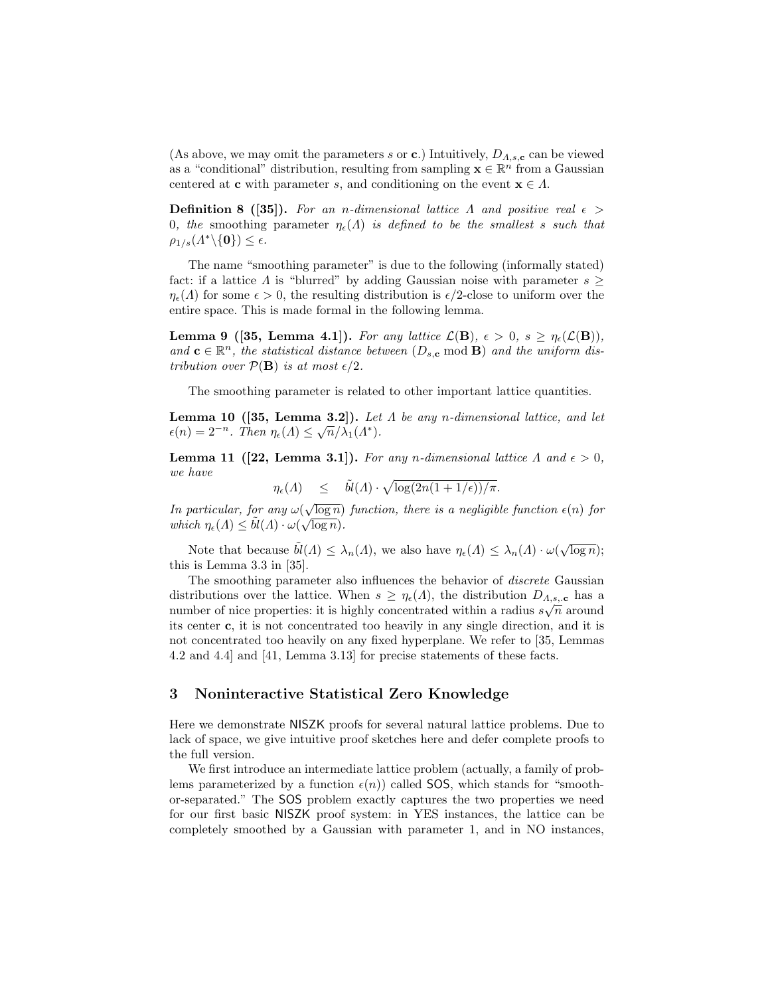(As above, we may omit the parameters s or c.) Intuitively,  $D_{A,s,c}$  can be viewed as a "conditional" distribution, resulting from sampling  $\mathbf{x} \in \mathbb{R}^n$  from a Gaussian centered at **c** with parameter s, and conditioning on the event  $\mathbf{x} \in \Lambda$ .

**Definition 8** ([35]). For an n-dimensional lattice  $\Lambda$  and positive real  $\epsilon$  > 0, the smoothing parameter  $\eta_{\epsilon}(\Lambda)$  is defined to be the smallest s such that  $\rho_{1/s}(A^*\backslash {\bf{0}}) \leq \epsilon.$ 

The name "smoothing parameter" is due to the following (informally stated) fact: if a lattice  $\Lambda$  is "blurred" by adding Gaussian noise with parameter  $s \geq$  $\eta_{\epsilon}(A)$  for some  $\epsilon > 0$ , the resulting distribution is  $\epsilon/2$ -close to uniform over the entire space. This is made formal in the following lemma.

**Lemma 9** ([35, Lemma 4.1]). For any lattice  $\mathcal{L}(\mathbf{B})$ ,  $\epsilon > 0$ ,  $s \geq \eta_{\epsilon}(\mathcal{L}(\mathbf{B}))$ , and  $\mathbf{c} \in \mathbb{R}^n$ , the statistical distance between  $(D_{s,c} \mod B)$  and the uniform distribution over  $P(\mathbf{B})$  is at most  $\epsilon/2$ .

The smoothing parameter is related to other important lattice quantities.

**Lemma 10** ([35, Lemma 3.2]). Let  $\Lambda$  be any n-dimensional lattice, and let  $\epsilon(n) = 2^{-n}$ . Then  $\eta_{\epsilon}(A) \leq \sqrt{n}/\lambda_1(A^*)$ .

Lemma 11 ([22, Lemma 3.1]). For any n-dimensional lattice  $\Lambda$  and  $\epsilon > 0$ , we have

$$
\eta_\epsilon(A) \quad \leq \quad \tilde b l(A) \cdot \sqrt{\log(2n(1+1/\epsilon))/\pi}.
$$

In particular, for any  $\omega(\sqrt{\log n})$  function, there is a negligible function  $\epsilon(n)$  for which  $\eta_{\epsilon}(A) \leq \tilde{bl}(A) \cdot \omega(\sqrt{\log n}).$ 

Note that because  $\tilde{bl}(\Lambda) \leq \lambda_n(\Lambda)$ , we also have  $\eta_{\epsilon}(\Lambda) \leq \lambda_n(\Lambda) \cdot \omega(\sqrt{\log n});$ this is Lemma 3.3 in [35].

The smoothing parameter also influences the behavior of *discrete* Gaussian distributions over the lattice. When  $s \geq \eta_{\epsilon}(A)$ , the distribution  $D_{A,s,\mathbf{c}}$  has a number of nice properties: it is highly concentrated within a radius  $s\sqrt{n}$  around its center c, it is not concentrated too heavily in any single direction, and it is not concentrated too heavily on any fixed hyperplane. We refer to [35, Lemmas 4.2 and 4.4] and [41, Lemma 3.13] for precise statements of these facts.

# 3 Noninteractive Statistical Zero Knowledge

Here we demonstrate NISZK proofs for several natural lattice problems. Due to lack of space, we give intuitive proof sketches here and defer complete proofs to the full version.

We first introduce an intermediate lattice problem (actually, a family of problems parameterized by a function  $\epsilon(n)$  called SOS, which stands for "smoothor-separated." The SOS problem exactly captures the two properties we need for our first basic NISZK proof system: in YES instances, the lattice can be completely smoothed by a Gaussian with parameter 1, and in NO instances,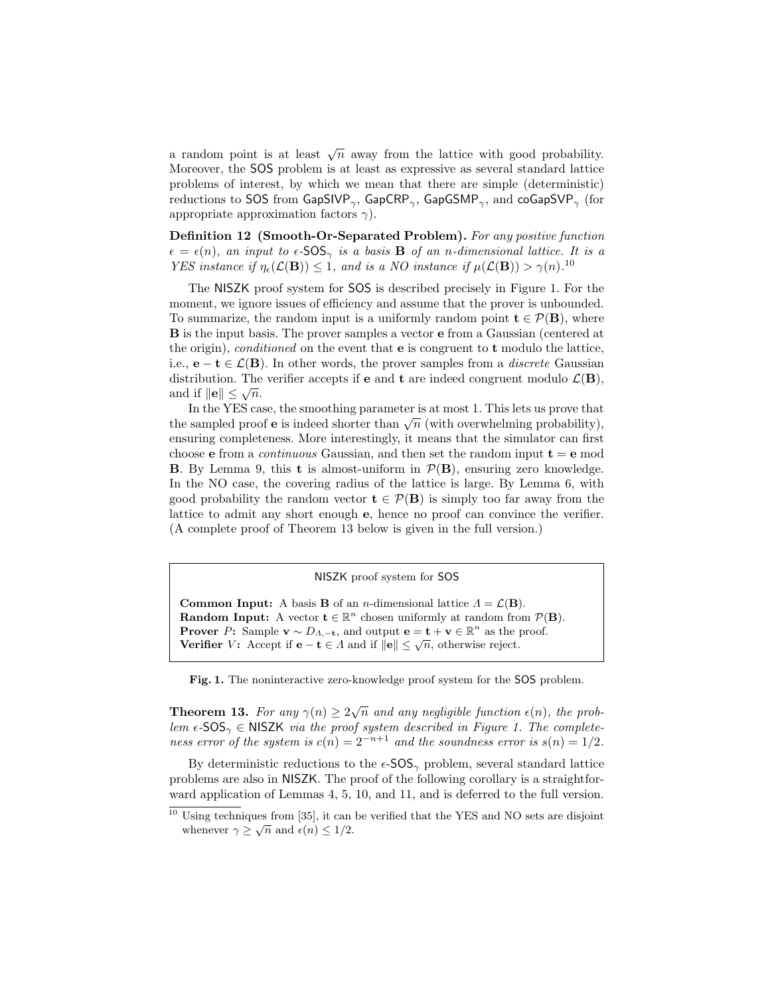a random point is at least  $\sqrt{n}$  away from the lattice with good probability. Moreover, the SOS problem is at least as expressive as several standard lattice problems of interest, by which we mean that there are simple (deterministic) reductions to SOS from GapSIVP $_{\gamma}$ , GapCRP $_{\gamma}$ , GapGSMP $_{\gamma}$ , and coGapSVP $_{\gamma}$  (for appropriate approximation factors  $\gamma$ ).

Definition 12 (Smooth-Or-Separated Problem). For any positive function  $\epsilon = \epsilon(n)$ , an input to  $\epsilon$ -SOS<sub> $\gamma$ </sub> is a basis **B** of an n-dimensional lattice. It is a YES instance if  $\eta_{\epsilon}(\mathcal{L}(\mathbf{B})) \leq 1$ , and is a NO instance if  $\mu(\mathcal{L}(\mathbf{B})) > \gamma(n)$ .<sup>10</sup>

The NISZK proof system for SOS is described precisely in Figure 1. For the moment, we ignore issues of efficiency and assume that the prover is unbounded. To summarize, the random input is a uniformly random point  $\mathbf{t} \in \mathcal{P}(\mathbf{B})$ , where B is the input basis. The prover samples a vector e from a Gaussian (centered at the origin), conditioned on the event that  $e$  is congruent to  $t$  modulo the lattice, i.e.,  $e - t \in \mathcal{L}(\mathbf{B})$ . In other words, the prover samples from a *discrete* Gaussian distribution. The verifier accepts if **e** and **t** are indeed congruent modulo  $\mathcal{L}(\mathbf{B})$ , and if  $\|\mathbf{e}\| \leq \sqrt{n}$ .

In the YES case, the smoothing parameter is at most 1. This lets us prove that In the state, the smoothing parameter is at most 1. This lets us prove that the sampled proof **e** is indeed shorter than  $\sqrt{n}$  (with overwhelming probability), ensuring completeness. More interestingly, it means that the simulator can first choose **e** from a *continuous* Gaussian, and then set the random input  $t = e$  mod **B.** By Lemma 9, this **t** is almost-uniform in  $P(B)$ , ensuring zero knowledge. In the NO case, the covering radius of the lattice is large. By Lemma 6, with good probability the random vector  $\mathbf{t} \in \mathcal{P}(\mathbf{B})$  is simply too far away from the lattice to admit any short enough e, hence no proof can convince the verifier. (A complete proof of Theorem 13 below is given in the full version.)

NISZK proof system for SOS

Common Input: A basis **B** of an *n*-dimensional lattice  $\Lambda = \mathcal{L}(\mathbf{B})$ . **Random Input:** A vector  $\mathbf{t} \in \mathbb{R}^n$  chosen uniformly at random from  $\mathcal{P}(\mathbf{B})$ . **Prover** P: Sample  $\mathbf{v} \sim D_{\Lambda,-\mathbf{t}}$ , and output  $\mathbf{e} = \mathbf{t} + \mathbf{v} \in \mathbb{R}^n$  as the proof. **Track** T: Sample  $\mathbf{v} \sim D_{A,-\mathbf{t}}$ , and output  $\mathbf{e} = \mathbf{t} + \mathbf{v} \in \mathbb{R}$  as the p<br>Verifier V: Accept if  $\mathbf{e} - \mathbf{t} \in A$  and if  $\|\mathbf{e}\| \leq \sqrt{n}$ , otherwise reject.

Fig. 1. The noninteractive zero-knowledge proof system for the SOS problem.

**Theorem 13.** For any  $\gamma(n) \geq 2\sqrt{n}$  and any negligible function  $\epsilon(n)$ , the problem  $\epsilon$ -SOS<sub> $\gamma$ </sub>  $\in$  NISZK via the proof system described in Figure 1. The completeness error of the system is  $c(n) = 2^{-n+1}$  and the soundness error is  $s(n) = 1/2$ .

By deterministic reductions to the  $\epsilon$ -SOS<sub> $\gamma$ </sub> problem, several standard lattice problems are also in NISZK. The proof of the following corollary is a straightforward application of Lemmas 4, 5, 10, and 11, and is deferred to the full version.

<sup>&</sup>lt;sup>10</sup> Using techniques from [35], it can be verified that the YES and NO sets are disjoint whenever  $\gamma \geq \sqrt{n}$  and  $\epsilon(n) \leq 1/2$ .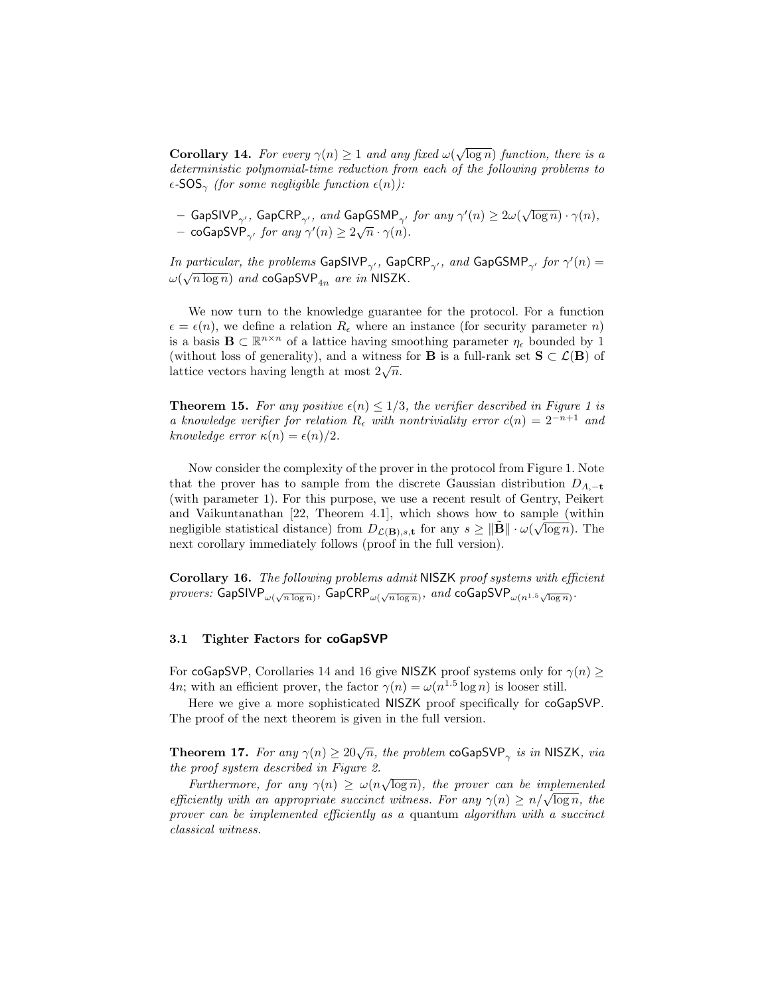**Corollary 14.** For every  $\gamma(n) \geq 1$  and any fixed  $\omega(\sqrt{\log n})$  function, there is a deterministic polynomial-time reduction from each of the following problems to  $\epsilon$ -SOS<sub>γ</sub> (for some negligible function  $\epsilon(n)$ ):

 $-$  GapSIVP $_{\gamma'}$ , GapCRP $_{\gamma'}$ , and GapGSMP $_{\gamma'}$  for any  $\gamma'(n)\geq 2\omega(\sqrt{\log n})\cdot\gamma(n),$  $\alpha$  coGapSVP<sub>γ'</sub> for any  $\gamma'(n) \ge 2\sqrt{n} \cdot \gamma(n)$ .

In particular, the problems GapSIVP<sub> $\gamma'$ </sub>, GapCRP<sub> $\gamma'$ </sub>, and GapGSMP<sub> $\gamma'$ </sub> for  $\gamma'(n) =$  $\omega(\sqrt{n\log n})$  and coGapSVP $_{4n}$  are in NISZK.

We now turn to the knowledge guarantee for the protocol. For a function  $\epsilon = \epsilon(n)$ , we define a relation  $R_{\epsilon}$  where an instance (for security parameter n) is a basis  $\mathbf{B} \subset \mathbb{R}^{n \times n}$  of a lattice having smoothing parameter  $\eta_{\epsilon}$  bounded by 1 (without loss of generality), and a witness for **B** is a full-rank set  $S \subset \mathcal{L}(B)$  of (without loss of generality), and a witness<br>lattice vectors having length at most  $2\sqrt{n}$ .

**Theorem 15.** For any positive  $\epsilon(n) \leq 1/3$ , the verifier described in Figure 1 is a knowledge verifier for relation  $R_{\epsilon}$  with nontriviality error  $c(n) = 2^{-n+1}$  and knowledge error  $\kappa(n) = \epsilon(n)/2$ .

Now consider the complexity of the prover in the protocol from Figure 1. Note that the prover has to sample from the discrete Gaussian distribution  $D_{\Lambda,-\mathbf{t}}$ (with parameter 1). For this purpose, we use a recent result of Gentry, Peikert and Vaikuntanathan [22, Theorem 4.1], which shows how to sample (within negligible statistical distance) from  $D_{\mathcal{L}(\mathbf{B}),s,\mathbf{t}}$  for any  $s \geq \|\tilde{\mathbf{B}}\| \cdot \omega(\sqrt{\log n})$ . The next corollary immediately follows (proof in the full version).

Corollary 16. The following problems admit NISZK proof systems with efficient  $\emph{provers:}$  GapSIV ${\sf P}_{\omega(\sqrt{n\log n})},$  GapCR ${\sf P}_{\omega(\sqrt{n\log n})},$   $\emph{and}$  coGapSV ${\sf P}_{\omega(n^{1.5}\sqrt{\log n})}.$ 

#### 3.1 Tighter Factors for coGapSVP

For coGapSVP, Corollaries 14 and 16 give NISZK proof systems only for  $\gamma(n) \geq$ 4n; with an efficient prover, the factor  $\gamma(n) = \omega(n^{1.5} \log n)$  is looser still.

Here we give a more sophisticated NISZK proof specifically for coGapSVP. The proof of the next theorem is given in the full version.

**Theorem 17.** For any  $\gamma(n) \ge 20\sqrt{n}$ , the problem coGapSVP<sub> $\gamma$ </sub> is in NISZK, via the proof system described in Figure 2.

*Furthermore, for any*  $\gamma(n) \geq \omega(n\sqrt{\log n})$ , the prover can be implemented Furthermore, for any  $\gamma(n) \geq \omega(n\sqrt{\log n})$ , the prover can be implemented<br>efficiently with an appropriate succinct witness. For any  $\gamma(n) \geq n/\sqrt{\log n}$ , the prover can be implemented efficiently as a quantum algorithm with a succinct classical witness.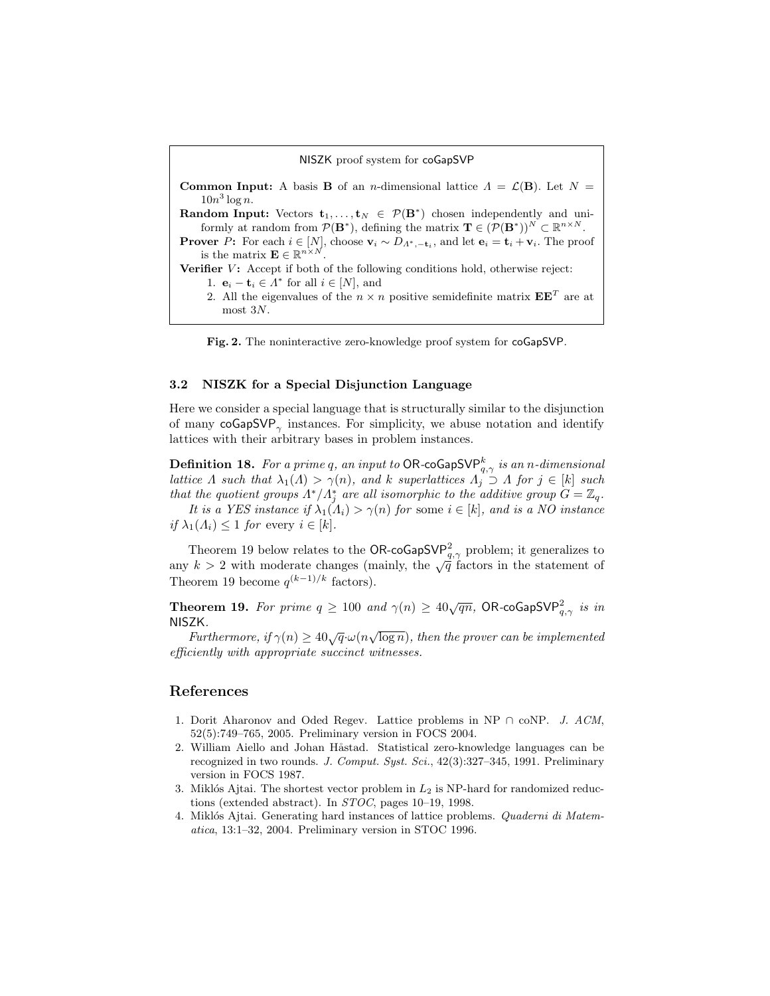|  |  |  |  | NISZK proof system for coGapSVP |
|--|--|--|--|---------------------------------|
|--|--|--|--|---------------------------------|

**Common Input:** A basis **B** of an *n*-dimensional lattice  $\Lambda = \mathcal{L}(\mathbf{B})$ . Let  $N =$  $10n^3 \log n$ . **Random Input:** Vectors  $\mathbf{t}_1, \ldots, \mathbf{t}_N \in \mathcal{P}(\mathbf{B}^*)$  chosen independently and uniformly at random from  $\mathcal{P}(\mathbf{B}^*)$ , defining the matrix  $\mathbf{T} \in (\mathcal{P}(\mathbf{B}^*))^N \subset \mathbb{R}^{n \times N}$ . **Prover** P: For each  $i \in [N]$ , choose  $\mathbf{v}_i \sim D_{\Lambda^*, -\mathbf{t}_i}$ , and let  $\mathbf{e}_i = \mathbf{t}_i + \mathbf{v}_i$ . The proof is the matrix  $\mathbf{E} \in \mathbb{R}^{n \times N}$ . Verifier  $V$ : Accept if both of the following conditions hold, otherwise reject: 1.  $\mathbf{e}_i - \mathbf{t}_i \in \Lambda^*$  for all  $i \in [N]$ , and 2. All the eigenvalues of the  $n \times n$  positive semidefinite matrix  $\mathbf{E} \mathbf{E}^T$  are at most 3N.



#### 3.2 NISZK for a Special Disjunction Language

Here we consider a special language that is structurally similar to the disjunction of many  $\mathsf{coGapSVP}_{\gamma}$  instances. For simplicity, we abuse notation and identify lattices with their arbitrary bases in problem instances.

 $\mathbf D$ efinition 18. For a prime  $q,$  an input to <code>OR-coGapSVP</code>  $_{\!q,\gamma}^{k}$  is an n-dimensional lattice  $\Lambda$  such that  $\lambda_1(\Lambda) > \gamma(n)$ , and k superlattices  $\Lambda_j \supset \Lambda$  for  $j \in [k]$  such that the quotient groups  $\Lambda^*/\Lambda_j^*$  are all isomorphic to the additive group  $G=\mathbb{Z}_q$ .

It is a YES instance if  $\lambda_1(\Lambda_i) > \gamma(n)$  for some  $i \in [k]$ , and is a NO instance if  $\lambda_1(\Lambda_i) \leq 1$  for every  $i \in [k]$ .

Theorem 19 below relates to the OR-coGapSVP<sup>2</sup><sub>q, $\gamma$ </sub> problem; it generalizes to any  $k > 2$  with moderate changes (mainly, the  $\sqrt{q}$  factors in the statement of Theorem 19 become  $q^{(k-1)/k}$  factors).

**Theorem 19.** For prime  $q \ge 100$  and  $\gamma(n) \ge 40\sqrt{qn}$ , OR-coGapSVP<sup>2</sup><sub>9, $\gamma$ </sub> is in NISZK.

 $\mathcal{L}$ n.<br>Furthermore, if  $\gamma(n) \geq 40\sqrt{q} \cdot \omega(n\sqrt{\log n})$ , then the prover can be implemented efficiently with appropriate succinct witnesses.

## References

- 1. Dorit Aharonov and Oded Regev. Lattice problems in NP ∩ coNP. J. ACM, 52(5):749–765, 2005. Preliminary version in FOCS 2004.
- 2. William Aiello and Johan Håstad. Statistical zero-knowledge languages can be recognized in two rounds. J. Comput. Syst. Sci., 42(3):327-345, 1991. Preliminary version in FOCS 1987.
- 3. Miklós Ajtai. The shortest vector problem in  $L_2$  is NP-hard for randomized reductions (extended abstract). In STOC, pages 10–19, 1998.
- 4. Miklós Ajtai. Generating hard instances of lattice problems. Quaderni di Matematica, 13:1–32, 2004. Preliminary version in STOC 1996.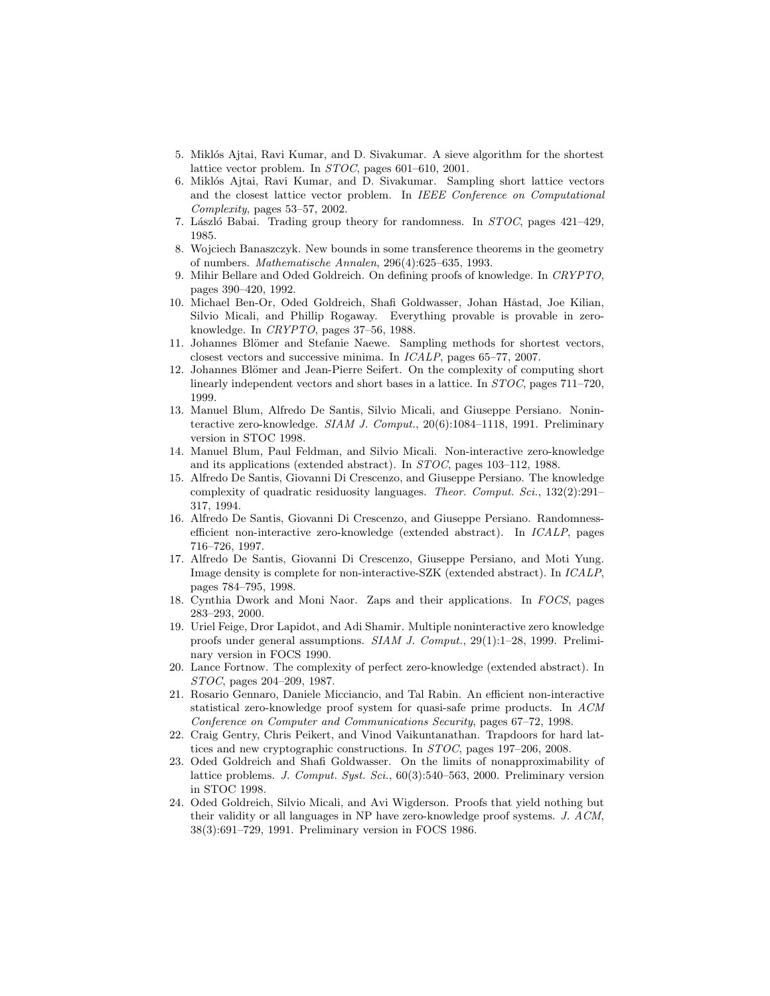- 5. Miklós Ajtai, Ravi Kumar, and D. Sivakumar. A sieve algorithm for the shortest lattice vector problem. In STOC, pages 601–610, 2001.
- 6. Miklós Ajtai, Ravi Kumar, and D. Sivakumar. Sampling short lattice vectors and the closest lattice vector problem. In IEEE Conference on Computational Complexity, pages 53–57, 2002.
- 7. László Babai. Trading group theory for randomness. In  $STOC$ , pages  $421–429$ , 1985.
- 8. Wojciech Banaszczyk. New bounds in some transference theorems in the geometry of numbers. Mathematische Annalen, 296(4):625–635, 1993.
- 9. Mihir Bellare and Oded Goldreich. On defining proofs of knowledge. In CRYPTO, pages 390–420, 1992.
- 10. Michael Ben-Or, Oded Goldreich, Shafi Goldwasser, Johan Håstad, Joe Kilian, Silvio Micali, and Phillip Rogaway. Everything provable is provable in zeroknowledge. In CRYPTO, pages 37–56, 1988.
- 11. Johannes Blömer and Stefanie Naewe. Sampling methods for shortest vectors, closest vectors and successive minima. In ICALP, pages 65–77, 2007.
- 12. Johannes Blömer and Jean-Pierre Seifert. On the complexity of computing short linearly independent vectors and short bases in a lattice. In STOC, pages 711–720, 1999.
- 13. Manuel Blum, Alfredo De Santis, Silvio Micali, and Giuseppe Persiano. Noninteractive zero-knowledge. SIAM J. Comput., 20(6):1084–1118, 1991. Preliminary version in STOC 1998.
- 14. Manuel Blum, Paul Feldman, and Silvio Micali. Non-interactive zero-knowledge and its applications (extended abstract). In STOC, pages 103–112, 1988.
- 15. Alfredo De Santis, Giovanni Di Crescenzo, and Giuseppe Persiano. The knowledge complexity of quadratic residuosity languages. Theor. Comput. Sci., 132(2):291– 317, 1994.
- 16. Alfredo De Santis, Giovanni Di Crescenzo, and Giuseppe Persiano. Randomnessefficient non-interactive zero-knowledge (extended abstract). In ICALP, pages 716–726, 1997.
- 17. Alfredo De Santis, Giovanni Di Crescenzo, Giuseppe Persiano, and Moti Yung. Image density is complete for non-interactive-SZK (extended abstract). In ICALP, pages 784–795, 1998.
- 18. Cynthia Dwork and Moni Naor. Zaps and their applications. In FOCS, pages 283–293, 2000.
- 19. Uriel Feige, Dror Lapidot, and Adi Shamir. Multiple noninteractive zero knowledge proofs under general assumptions. SIAM J. Comput., 29(1):1–28, 1999. Preliminary version in FOCS 1990.
- 20. Lance Fortnow. The complexity of perfect zero-knowledge (extended abstract). In STOC, pages 204–209, 1987.
- 21. Rosario Gennaro, Daniele Micciancio, and Tal Rabin. An efficient non-interactive statistical zero-knowledge proof system for quasi-safe prime products. In ACM Conference on Computer and Communications Security, pages 67–72, 1998.
- 22. Craig Gentry, Chris Peikert, and Vinod Vaikuntanathan. Trapdoors for hard lattices and new cryptographic constructions. In STOC, pages 197–206, 2008.
- 23. Oded Goldreich and Shafi Goldwasser. On the limits of nonapproximability of lattice problems. J. Comput. Syst. Sci., 60(3):540–563, 2000. Preliminary version in STOC 1998.
- 24. Oded Goldreich, Silvio Micali, and Avi Wigderson. Proofs that yield nothing but their validity or all languages in NP have zero-knowledge proof systems. J. ACM, 38(3):691–729, 1991. Preliminary version in FOCS 1986.